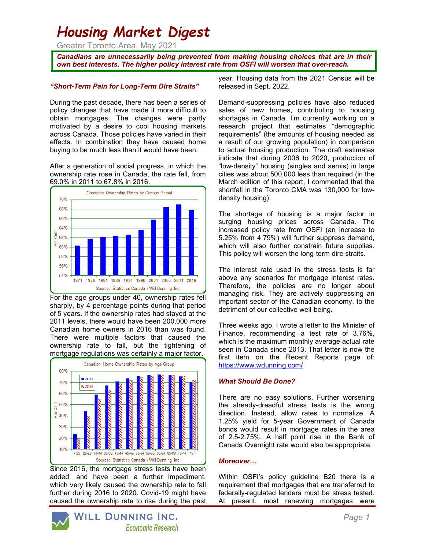# Housing Market Digest

Greater Toronto Area, May 2021

Canadians are unnecessarily being prevented from making housing choices that are in their own best interests. The higher policy interest rate from OSFI will worsen that over-reach.

## "Short-Term Pain for Long-Term Dire Straits"

During the past decade, there has been a series of policy changes that have made it more difficult to obtain mortgages. The changes were partly motivated by a desire to cool housing markets across Canada. Those policies have varied in their effects. In combination they have caused home buying to be much less than it would have been.

After a generation of social progress, in which the ownership rate rose in Canada, the rate fell, from 69.0% in 2011 to 67.8% in 2016.



For the age groups under 40, ownership rates fell sharply, by 4 percentage points during that period of 5 years. If the ownership rates had stayed at the 2011 levels, there would have been 200,000 more Canadian home owners in 2016 than was found. There were multiple factors that caused the ownership rate to fall, but the tightening of mortgage regulations was certainly a major factor.



Since 2016, the mortgage stress tests have been added, and have been a further impediment, which very likely caused the ownership rate to fall further during 2016 to 2020. Covid-19 might have caused the ownership rate to rise during the past year. Housing data from the 2021 Census will be released in Sept. 2022.

Demand-suppressing policies have also reduced sales of new homes, contributing to housing shortages in Canada. I'm currently working on a research project that estimates "demographic requirements" (the amounts of housing needed as a result of our growing population) in comparison to actual housing production. The draft estimates indicate that during 2006 to 2020, production of "low-density" housing (singles and semis) in large cities was about 500,000 less than required (in the March edition of this report, I commented that the shortfall in the Toronto CMA was 130,000 for lowdensity housing).

The shortage of housing is a major factor in surging housing prices across Canada. The increased policy rate from OSFI (an increase to 5.25% from 4.79%) will further suppress demand, which will also further constrain future supplies. This policy will worsen the long-term dire straits.

The interest rate used in the stress tests is far above any scenarios for mortgage interest rates. Therefore, the policies are no longer about managing risk. They are actively suppressing an important sector of the Canadian economy, to the detriment of our collective well-being.

Three weeks ago, I wrote a letter to the Minister of Finance, recommending a test rate of 3.76%, which is the maximum monthly average actual rate seen in Canada since 2013. That letter is now the first item on the Recent Reports page of: https://www.wdunning.com/

## What Should Be Done?

There are no easy solutions. Further worsening the already-dreadful stress tests is the wrong direction. Instead, allow rates to normalize. A 1.25% yield for 5-year Government of Canada bonds would result in mortgage rates in the area of 2.5-2.75%. A half point rise in the Bank of Canada Overnight rate would also be appropriate.

## Moreover…

Within OSFI's policy guideline B20 there is a requirement that mortgages that are transferred to federally-regulated lenders must be stress tested. At present, most renewing mortgages were